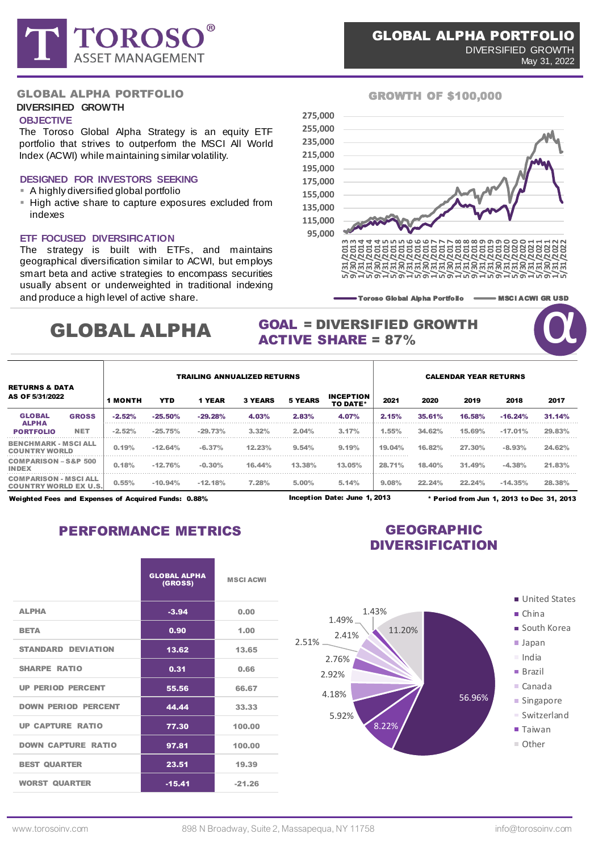

## **DIVERSIFIED GROWTH**

## **OBJECTIVE**

The Toroso Global Alpha Strategy is an equity ETF portfolio that strives to outperform the MSCI All World Index (ACWI) while maintaining similar volatility.

### **DESIGNED FOR INVESTORS SEEKING A** highly diversified global portfolio

- 
- **.** High active share to capture exposures excluded from indexes

## **ETF FOCUSED DIVERSIFICATION**

The strategy is built with ETFs, and maintains geographical diversification similar to ACWI, but employs smart beta and active strategies to encompass securities usually absent or underweighted in traditional indexing and produce a high level of active share.

# GLOBAL ALPHA

## GROWTH OF \$100,000



Toroso Global Alpha Portfolio **---------** MSCI ACWI GR USD

**QUE** 

## GOAL = DIVERSIFIED GROWTH ACTIVE SHARE = 87%

|                                                              |              | <b>TRAILING ANNUALIZED RETURNS</b> |            |           |                |                |                                     |        | <b>CALENDAR YEAR RETURNS</b> |           |           |        |  |  |
|--------------------------------------------------------------|--------------|------------------------------------|------------|-----------|----------------|----------------|-------------------------------------|--------|------------------------------|-----------|-----------|--------|--|--|
| <b>RETURNS &amp; DATA</b><br>AS OF 5/31/2022                 |              | <b>1 MONTH</b>                     | <b>YTD</b> | 1 YEAR    | <b>3 YEARS</b> | <b>5 YEARS</b> | <b>INCEPTION</b><br><b>TO DATE*</b> | 2021   | 2020                         | 2019      | 2018      | 2017   |  |  |
| <b>GLOBAL</b><br><b>ALPHA</b><br><b>PORTFOLIO</b>            | <b>GROSS</b> | $-2.52\%$                          | $-25.50%$  | $-29.28%$ | 4.03%          | 2.83%          | 4.07%                               | 2.15%  | 35.61%                       | 16.58%    | $-16.24%$ | 31.14% |  |  |
|                                                              | <b>NET</b>   | $-2.52%$                           | $-25.75%$  | $-29.73%$ | 3.32%          | 2.04%          | 3.17%                               | 1.55%  | 34.62%                       | 15.69%    | $-17.01%$ | 29.83% |  |  |
| <b>BENCHMARK - MSCI ALL</b><br><b>COUNTRY WORLD</b>          |              | 0.19%                              | $-12.64%$  | $-6.37\%$ | 12.23%         | 9.54%          | 9.19%                               | 19.04% | 16.82%                       | $27.30\%$ | $-8.93%$  | 24.62% |  |  |
| <b>COMPARISON - S&amp;P 500</b><br><b>INDEX</b>              |              | 0.18%                              | $-12.76%$  | $-0.30%$  | 16.44%         | 13.38%         | 13.05%                              | 28.71% | 18.40%                       | 31.49%    | $-4.38%$  | 21.83% |  |  |
| <b>COMPARISON - MSCI ALL</b><br><b>COUNTRY WORLD EX U.S.</b> |              | 0.55%                              | $-10.94%$  | $-12.18%$ | $7.28\%$       | 5.00%          | 5.14%                               | 9.08%  | 22.24%                       | 22.24%    | $-14.35%$ | 28.38% |  |  |

Inception Date: June 1, 2013

Weighted Fees and Expenses of Acquired Funds: 0.88% \* Period from Jun 1, 2013 to Dec 31, 2013

PERFORMANCE METRICS **GEOGRAPHIC** 

# DIVERSIFICATION

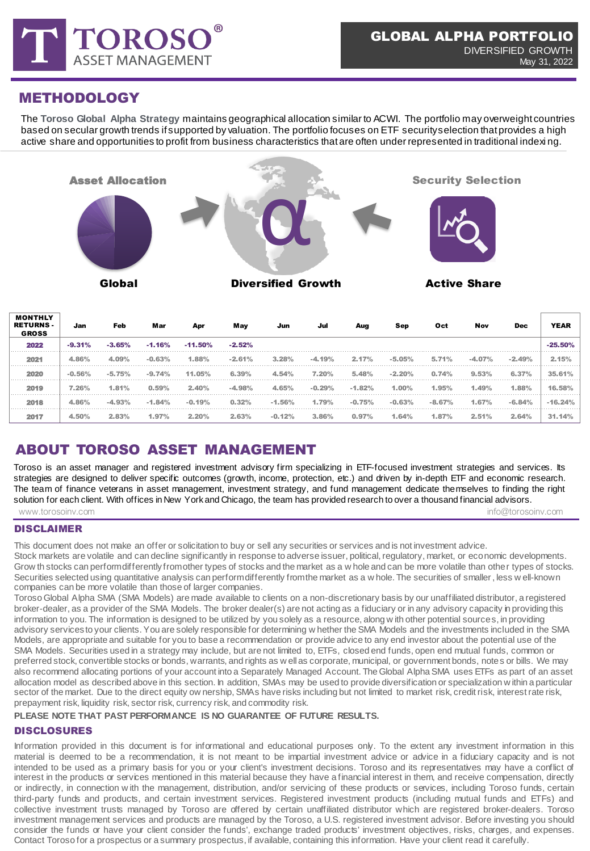

## METHODOLOGY

The **Toroso Global Alpha Strategy** maintains geographical allocation similar to ACWI. The portfolio may overweight countries based on secular growth trends if supported by valuation. The portfolio focuses on ETF security selection that provides a high active share and opportunities to profit from business characteristics that are often under represented in traditional indexi ng.



| MONTHLY<br><b>RETURNS -</b><br><b>GROSS</b> | Jan      | Feb      | Mar      | Apr        | May      | Jun      | Jul      | Aug      | Sep      | Oct      | Nov      | <b>Dec</b> | <b>YEAR</b> |
|---------------------------------------------|----------|----------|----------|------------|----------|----------|----------|----------|----------|----------|----------|------------|-------------|
| 2022                                        | $-9.31%$ | $-3.65%$ | $-1.16%$ | $-11.50\%$ | $-2.52%$ |          |          |          |          |          |          |            | $-25.50%$   |
| 2021                                        | 4.86%    | 4.09%    | $-0.63%$ | 1.88%      | $-2.61%$ | 3.28%    | $-4.19%$ | 2.17%    | $-5.05%$ | 5.71%    | $-4.07%$ | $-2.49%$   | 2.15%       |
| 2020                                        | $-0.56%$ | $-5.75%$ | $-9.74%$ | 11.05%     | 6.39%    | 4.54%    | 7.20%    | 5.48%    | $-2.20%$ | 0.74%    | 9.53%    | 6.37%      | 35.61%      |
| 2019                                        | 7.26%    | 1.81%    | 0.59%    | 2.40%      | $-4.98%$ | 4.65%    | $-0.29%$ | $-1.82%$ | 1.00%    | 1.95%    | 1.49%    | 1.88%      | $16.58\%$   |
| 2018                                        | 4.86%    | $-4.93%$ | $-1.84%$ | $-0.19%$   | 0.32%    | $-1.56%$ | 1.79%    | $-0.75%$ | $-0.63%$ | $-8.67%$ | 1.67%    | $-6.84%$   |             |
| 2017                                        | 4.50%    | 2.83%    | 1.97%    | 2.20%      | 2.63%    | $-0.12%$ | 3.86%    | 0.97%    | 1.64%    | 1.87%    | 2.51%    | 2.64%      | 31.14%      |

## ABOUT TOROSO ASSET MANAGEMENT

www.torosoinv.com info@torosoinv.com info@torosoinv.com info@torosoinv.com info@torosoinv.com Toroso is an asset manager and registered investment advisory firm specializing in ETF-focused investment strategies and services. Its strategies are designed to deliver specific outcomes (growth, income, protection, etc.) and driven by in-depth ETF and economic research. The team of finance veterans in asset management, investment strategy, and fund management dedicate themselves to finding the right solution for each client. With offices in New York and Chicago, the team has provided research to over a thousand financial advisors.

## DISCLAIMER

This document does not make an offer or solicitation to buy or sell any securities or services and is not investment advice.

Stock markets are volatile and can decline significantly in response to adverse issuer, political, regulatory, market, or economic developments. Grow th stocks can perform differently from other types of stocks and the market as a w hole and can be more volatile than other types of stocks. Securities selected using quantitative analysis can perform differently from the market as a w hole. The securities of smaller, less w ell-known companies can be more volatile than those of larger companies.

Toroso Global Alpha SMA (SMA Models) are made available to clients on a non-discretionary basis by our unaffiliated distributor, a registered broker-dealer, as a provider of the SMA Models. The broker dealer(s) are not acting as a fiduciary or in any advisory capacity in providing this information to you. The information is designed to be utilized by you solely as a resource, along w ith other potential sources, in providing advisory services to your clients. You are solely responsible for determining w hether the SMA Models and the investments included in the SMA Models, are appropriate and suitable for you to base a recommendation or provide advice to any end investor about the potential use of the SMA Models. Securities used in a strategy may include, but are not limited to, ETFs, closed end funds, open end mutual funds, common or preferred stock, convertible stocks or bonds, warrants, and rights as w ell as corporate, municipal, or government bonds, notes or bills. We may also recommend allocating portions of your account into a Separately Managed Account. The Global Alpha SMA uses ETFs as part of an asset allocation model as described above in this section. In addition, SMAs may be used to provide diversification or specialization w ithin a particular sector of the market. Due to the direct equity ow nership, SMAs have risks including but not limited to market risk, credit risk, interest rate risk, prepayment risk, liquidity risk, sector risk, currency risk, and commodity risk.

## **PLEASE NOTE THAT PAST PERFORMANCE IS NO GUARANTEE OF FUTURE RESULTS.**

## DISCLOSURES

Information provided in this document is for informational and educational purposes only. To the extent any investment information in this material is deemed to be a recommendation, it is not meant to be impartial investment advice or advice in a fiduciary capacity and is not intended to be used as a primary basis for you or your client's investment decisions. Toroso and its representatives may have a conflict of interest in the products or services mentioned in this material because they have a financial interest in them, and receive compensation, directly or indirectly, in connection w ith the management, distribution, and/or servicing of these products or services, including Toroso funds, certain third-party funds and products, and certain investment services. Registered investment products (including mutual funds and ETFs) and collective investment trusts managed by Toroso are offered by certain unaffiliated distributor which are registered broker-dealers. Toroso investment management services and products are managed by the Toroso, a U.S. registered investment advisor. Before investing you should consider the funds or have your client consider the funds', exchange traded products' investment objectives, risks, charges, and expenses. Contact Toroso for a prospectus or a summary prospectus, if available, containing this information. Have your client read it carefully.